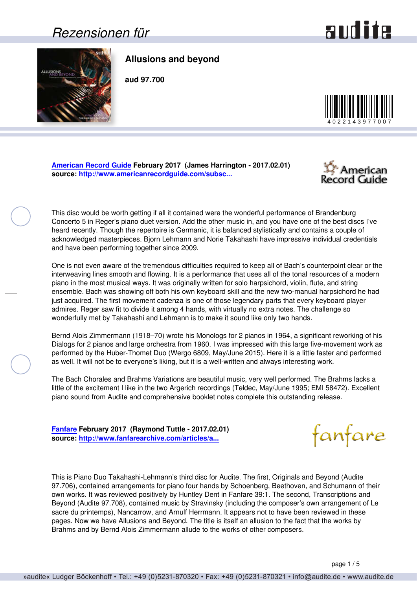#### *Rezensionen für*

# and ite

<span id="page-0-0"></span>

**Allusions and beyond**

**aud 97.700**



**[American Record Guide](http://www.americanrecordguide.com) February 2017 (James Harrington - 2017.02.01) source: [http://www.americanrecordguide.com/subsc...](http://www.americanrecordguide.com/subscribers/ARG1703.pdf)**



This disc would be worth getting if all it contained were the wonderful performance of Brandenburg Concerto 5 in Reger's piano duet version. Add the other music in, and you have one of the best discs I've heard recently. Though the repertoire is Germanic, it is balanced stylistically and contains a couple of acknowledged masterpieces. Bjorn Lehmann and Norie Takahashi have impressive individual credentials and have been performing together since 2009.

One is not even aware of the tremendous difficulties required to keep all of Bach's counterpoint clear or the interweaving lines smooth and flowing. It is a performance that uses all of the tonal resources of a modern piano in the most musical ways. It was originally written for solo harpsichord, violin, flute, and string ensemble. Bach was showing off both his own keyboard skill and the new two-manual harpsichord he had just acquired. The first movement cadenza is one of those legendary parts that every keyboard player admires. Reger saw fit to divide it among 4 hands, with virtually no extra notes. The challenge so wonderfully met by Takahashi and Lehmann is to make it sound like only two hands.

Bernd Alois Zimmermann (1918–70) wrote his Monologs for 2 pianos in 1964, a significant reworking of his Dialogs for 2 pianos and large orchestra from 1960. I was impressed with this large five-movement work as performed by the Huber-Thomet Duo (Wergo 6809, May/June 2015). Here it is a little faster and performed as well. It will not be to everyone's liking, but it is a well-written and always interesting work.

The Bach Chorales and Brahms Variations are beautiful music, very well performed. The Brahms lacks a little of the excitement I like in the two Argerich recordings (Teldec, May/June 1995; EMI 58472). Excellent piano sound from Audite and comprehensive booklet notes complete this outstanding release.

**[Fanfare](http://www.fanfaremag.com/) February 2017 (Raymond Tuttle - 2017.02.01) source: [http://www.fanfarearchive.com/articles/a...](http://www.fanfarearchive.com/articles/atop/40_4/4044860.zz5_ALLUSIONS_BEYOND_Pn_Duo.html)**

This is Piano Duo Takahashi-Lehmann's third disc for Audite. The first, Originals and Beyond (Audite 97.706), contained arrangements for piano four hands by Schoenberg, Beethoven, and Schumann of their own works. It was reviewed positively by Huntley Dent in Fanfare 39:1. The second, Transcriptions and Beyond (Audite 97.708), contained music by Stravinsky (including the composer's own arrangement of Le sacre du printemps), Nancarrow, and Arnulf Herrmann. It appears not to have been reviewed in these pages. Now we have Allusions and Beyond. The title is itself an allusion to the fact that the works by Brahms and by Bernd Alois Zimmermann allude to the works of other composers.

fanfare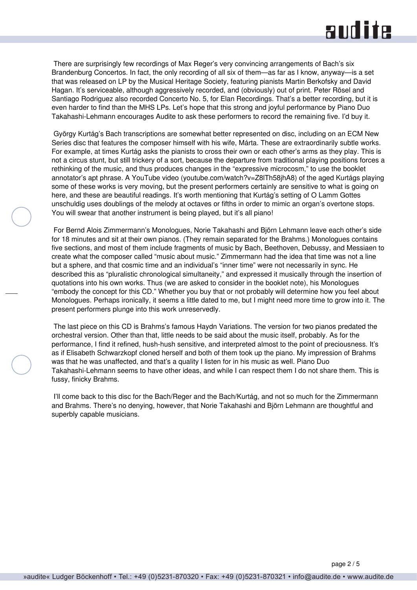## and ite

 There are surprisingly few recordings of Max Reger's very convincing arrangements of Bach's six Brandenburg Concertos. In fact, the only recording of all six of them—as far as I know, anyway—is a set that was released on LP by the Musical Heritage Society, featuring pianists Martin Berkofsky and David Hagan. It's serviceable, although aggressively recorded, and (obviously) out of print. Peter Rösel and Santiago Rodriguez also recorded Concerto No. 5, for Elan Recordings. That's a better recording, but it is even harder to find than the MHS LPs. Let's hope that this strong and joyful performance by Piano Duo Takahashi-Lehmann encourages Audite to ask these performers to record the remaining five. I'd buy it.

 György Kurtág's Bach transcriptions are somewhat better represented on disc, including on an ECM New Series disc that features the composer himself with his wife, Márta. These are extraordinarily subtle works. For example, at times Kurtág asks the pianists to cross their own or each other's arms as they play. This is not a circus stunt, but still trickery of a sort, because the departure from traditional playing positions forces a rethinking of the music, and thus produces changes in the "expressive microcosm," to use the booklet annotator's apt phrase. A YouTube video (youtube.com/watch?v=Z8lTh58jhA8) of the aged Kurtágs playing some of these works is very moving, but the present performers certainly are sensitive to what is going on here, and these are beautiful readings. It's worth mentioning that Kurtág's setting of O Lamm Gottes unschuldig uses doublings of the melody at octaves or fifths in order to mimic an organ's overtone stops. You will swear that another instrument is being played, but it's all piano!

 For Bernd Alois Zimmermann's Monologues, Norie Takahashi and Björn Lehmann leave each other's side for 18 minutes and sit at their own pianos. (They remain separated for the Brahms.) Monologues contains five sections, and most of them include fragments of music by Bach, Beethoven, Debussy, and Messiaen to create what the composer called "music about music." Zimmermann had the idea that time was not a line but a sphere, and that cosmic time and an individual's "inner time" were not necessarily in sync. He described this as "pluralistic chronological simultaneity," and expressed it musically through the insertion of quotations into his own works. Thus (we are asked to consider in the booklet note), his Monologues "embody the concept for this CD." Whether you buy that or not probably will determine how you feel about Monologues. Perhaps ironically, it seems a little dated to me, but I might need more time to grow into it. The present performers plunge into this work unreservedly.

 The last piece on this CD is Brahms's famous Haydn Variations. The version for two pianos predated the orchestral version. Other than that, little needs to be said about the music itself, probably. As for the performance, I find it refined, hush-hush sensitive, and interpreted almost to the point of preciousness. It's as if Elisabeth Schwarzkopf cloned herself and both of them took up the piano. My impression of Brahms was that he was unaffected, and that's a quality I listen for in his music as well. Piano Duo Takahashi-Lehmann seems to have other ideas, and while I can respect them I do not share them. This is fussy, finicky Brahms.

 I'll come back to this disc for the Bach/Reger and the Bach/Kurtág, and not so much for the Zimmermann and Brahms. There's no denying, however, that Norie Takahashi and Björn Lehmann are thoughtful and superbly capable musicians.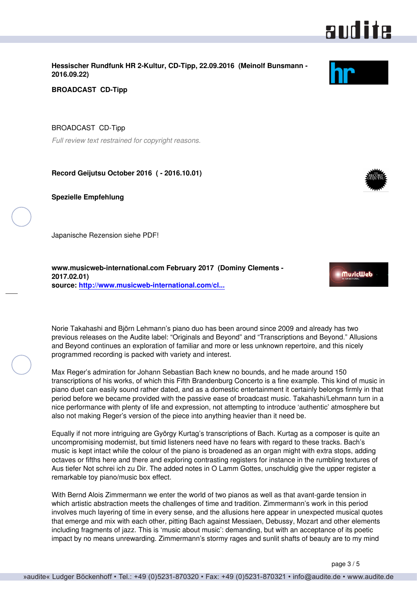<span id="page-2-0"></span>**Hessischer Rundfunk HR 2-Kultur, CD-Tipp, 22.09.2016 (Meinolf Bunsmann - 2016.09.22)**

**BROADCAST CD-Tipp**

BROADCAST CD-Tipp

*Full review text restrained for copyright reasons.*

**Record Geijutsu October 2016 ( - 2016.10.01)**

**Spezielle Empfehlung**

Japanische Rezension siehe PDF!

**www.musicweb-international.com February 2017 (Dominy Clements - 2017.02.01) source: [http://www.musicweb-international.com/cl...](http://www.musicweb-international.com/classrev/2017/Feb/Allusions_beyond_97700.htm)**

Norie Takahashi and Björn Lehmann's piano duo has been around since 2009 and already has two previous releases on the Audite label: "Originals and Beyond" and "Transcriptions and Beyond." Allusions and Beyond continues an exploration of familiar and more or less unknown repertoire, and this nicely programmed recording is packed with variety and interest.

Max Reger's admiration for Johann Sebastian Bach knew no bounds, and he made around 150 transcriptions of his works, of which this Fifth Brandenburg Concerto is a fine example. This kind of music in piano duet can easily sound rather dated, and as a domestic entertainment it certainly belongs firmly in that period before we became provided with the passive ease of broadcast music. Takahashi/Lehmann turn in a nice performance with plenty of life and expression, not attempting to introduce 'authentic' atmosphere but also not making Reger's version of the piece into anything heavier than it need be.

Equally if not more intriguing are György Kurtag's transcriptions of Bach. Kurtag as a composer is quite an uncompromising modernist, but timid listeners need have no fears with regard to these tracks. Bach's music is kept intact while the colour of the piano is broadened as an organ might with extra stops, adding octaves or fifths here and there and exploring contrasting registers for instance in the rumbling textures of Aus tiefer Not schrei ich zu Dir. The added notes in O Lamm Gottes, unschuldig give the upper register a remarkable toy piano/music box effect.

With Bernd Alois Zimmermann we enter the world of two pianos as well as that avant-garde tension in which artistic abstraction meets the challenges of time and tradition. Zimmermann's work in this period involves much layering of time in every sense, and the allusions here appear in unexpected musical quotes that emerge and mix with each other, pitting Bach against Messiaen, Debussy, Mozart and other elements including fragments of jazz. This is 'music about music': demanding, but with an acceptance of its poetic impact by no means unrewarding. Zimmermann's stormy rages and sunlit shafts of beauty are to my mind

## audite



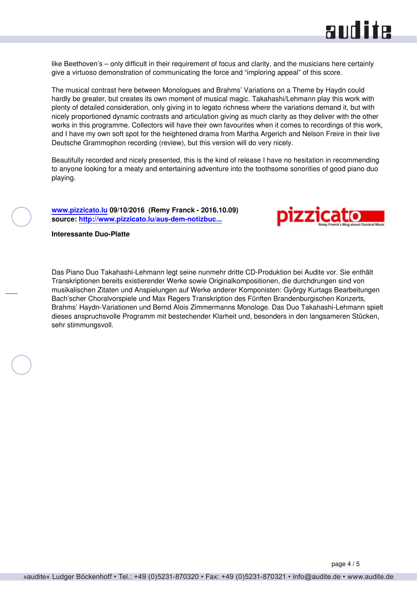

<span id="page-3-0"></span>like Beethoven's – only difficult in their requirement of focus and clarity, and the musicians here certainly give a virtuoso demonstration of communicating the force and "imploring appeal" of this score.

The musical contrast here between Monologues and Brahms' Variations on a Theme by Haydn could hardly be greater, but creates its own moment of musical magic. Takahashi/Lehmann play this work with plenty of detailed consideration, only giving in to legato richness where the variations demand it, but with nicely proportioned dynamic contrasts and articulation giving as much clarity as they deliver with the other works in this programme. Collectors will have their own favourites when it comes to recordings of this work, and I have my own soft spot for the heightened drama from Martha Argerich and Nelson Freire in their live Deutsche Grammophon recording (review), but this version will do very nicely.

Beautifully recorded and nicely presented, this is the kind of release I have no hesitation in recommending to anyone looking for a meaty and entertaining adventure into the toothsome sonorities of good piano duo playing.

**[www.pizzicato.lu](http://www.pizzicato.lu) 09/10/2016 (Remy Franck - 2016.10.09) source: [http://www.pizzicato.lu/aus-dem-notizbuc...](http://www.pizzicato.lu/aus-dem-notizbuch-eines-rezensenten-cd-kurzrezensionen-von-remy-franck-folge-132/)**



**Interessante Duo-Platte**

Das Piano Duo Takahashi-Lehmann legt seine nunmehr dritte CD-Produktion bei Audite vor. Sie enthält Transkriptionen bereits existierender Werke sowie Originalkompositionen, die durchdrungen sind von musikalischen Zitaten und Anspielungen auf Werke anderer Komponisten: György Kurtags Bearbeitungen Bach'scher Choralvorspiele und Max Regers Transkription des Fünften Brandenburgischen Konzerts, Brahms' Haydn-Variationen und Bernd Alois Zimmermanns Monologe. Das Duo Takahashi-Lehmann spielt dieses anspruchsvolle Programm mit bestechender Klarheit und, besonders in den langsameren Stücken, sehr stimmungsvoll.